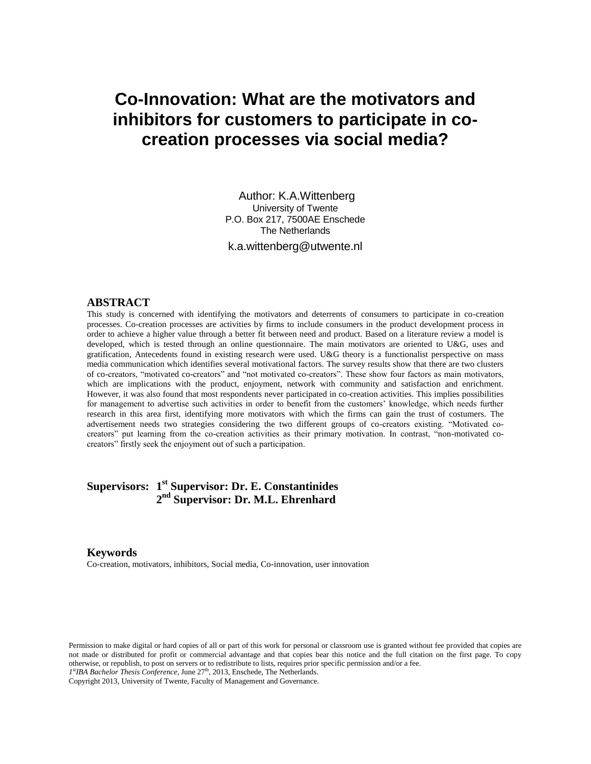# **Co-Innovation: What are the motivators and inhibitors for customers to participate in cocreation processes via social media?**

Author: K.A.Wittenberg University of Twente P.O. Box 217, 7500AE Enschede The Netherlands k.a.wittenberg@utwente.nl

#### **ABSTRACT**

This study is concerned with identifying the motivators and deterrents of consumers to participate in co-creation processes. Co-creation processes are activities by firms to include consumers in the product development process in order to achieve a higher value through a better fit between need and product. Based on a literature review a model is developed, which is tested through an online questionnaire. The main motivators are oriented to U&G, uses and gratification, Antecedents found in existing research were used. U&G theory is a functionalist perspective on mass media communication which identifies several motivational factors. The survey results show that there are two clusters of co-creators, "motivated co-creators" and "not motivated co-creators". These show four factors as main motivators, which are implications with the product, enjoyment, network with community and satisfaction and enrichment. However, it was also found that most respondents never participated in co-creation activities. This implies possibilities for management to advertise such activities in order to benefit from the customers' knowledge, which needs further research in this area first, identifying more motivators with which the firms can gain the trust of costumers. The advertisement needs two strategies considering the two different groups of co-creators existing. "Motivated cocreators" put learning from the co-creation activities as their primary motivation. In contrast, "non-motivated cocreators" firstly seek the enjoyment out of such a participation.

# **Supervisors: 1 st Supervisor: Dr. E. Constantinides 2 nd Supervisor: Dr. M.L. Ehrenhard**

#### **Keywords**

Co-creation, motivators, inhibitors, Social media, Co-innovation, user innovation

Permission to make digital or hard copies of all or part of this work for personal or classroom use is granted without fee provided that copies are not made or distributed for profit or commercial advantage and that copies bear this notice and the full citation on the first page. To copy otherwise, or republish, to post on servers or to redistribute to lists, requires prior specific permission and/or a fee.

1<sup>st</sup>IBA Bachelor Thesis Conference, June 27<sup>th</sup>, 2013, Enschede, The Netherlands.

Copyright 2013, University of Twente, Faculty of Management and Governance.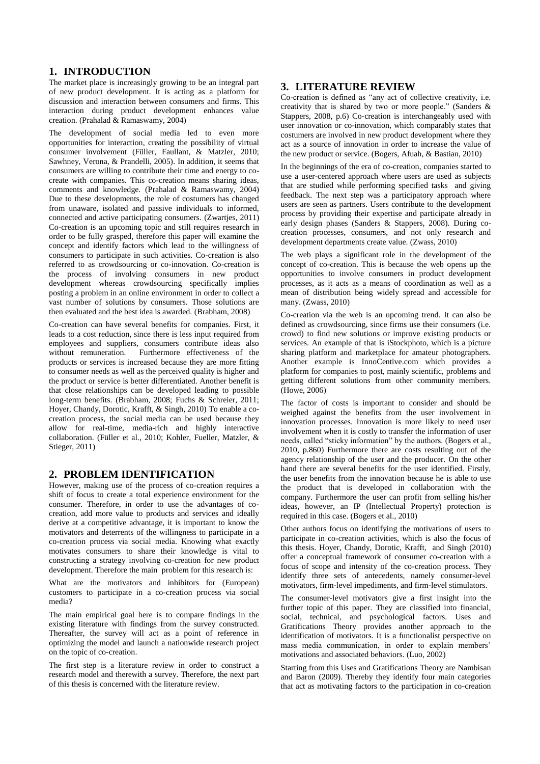# **1. INTRODUCTION**

The market place is increasingly growing to be an integral part of new product development. It is acting as a platform for discussion and interaction between consumers and firms. This interaction during product development enhances value creation. (Prahalad & Ramaswamy, 2004)

The development of social media led to even more opportunities for interaction, creating the possibility of virtual consumer involvement (Füller, Faullant, & Matzler, 2010; Sawhney, Verona, & Prandelli, 2005). In addition, it seems that consumers are willing to contribute their time and energy to cocreate with companies. This co-creation means sharing ideas, comments and knowledge. (Prahalad & Ramaswamy, 2004) Due to these developments, the role of costumers has changed from unaware, isolated and passive individuals to informed, connected and active participating consumers. (Zwartjes, 2011) Co-creation is an upcoming topic and still requires research in order to be fully grasped, therefore this paper will examine the concept and identify factors which lead to the willingness of consumers to participate in such activities. Co-creation is also referred to as crowdsourcing or co-innovation. Co-creation is the process of involving consumers in new product development whereas crowdsourcing specifically implies posting a problem in an online environment in order to collect a vast number of solutions by consumers. Those solutions are then evaluated and the best idea is awarded. (Brabham, 2008)

Co-creation can have several benefits for companies. First, it leads to a cost reduction, since there is less input required from employees and suppliers, consumers contribute ideas also without remuneration. Furthermore effectiveness of the products or services is increased because they are more fitting to consumer needs as well as the perceived quality is higher and the product or service is better differentiated. Another benefit is that close relationships can be developed leading to possible long-term benefits. (Brabham, 2008; Fuchs & Schreier, 2011; Hoyer, Chandy, Dorotic, Krafft, & Singh, 2010) To enable a cocreation process, the social media can be used because they allow for real-time, media-rich and highly interactive collaboration. (Füller et al., 2010; Kohler, Fueller, Matzler, & Stieger, 2011)

# **2. PROBLEM IDENTIFICATION**

However, making use of the process of co-creation requires a shift of focus to create a total experience environment for the consumer. Therefore, in order to use the advantages of cocreation, add more value to products and services and ideally derive at a competitive advantage, it is important to know the motivators and deterrents of the willingness to participate in a co-creation process via social media. Knowing what exactly motivates consumers to share their knowledge is vital to constructing a strategy involving co-creation for new product development. Therefore the main problem for this research is:

What are the motivators and inhibitors for (European) customers to participate in a co-creation process via social media?

The main empirical goal here is to compare findings in the existing literature with findings from the survey constructed. Thereafter, the survey will act as a point of reference in optimizing the model and launch a nationwide research project on the topic of co-creation.

The first step is a literature review in order to construct a research model and therewith a survey. Therefore, the next part of this thesis is concerned with the literature review.

# **3. LITERATURE REVIEW**

Co-creation is defined as "any act of collective creativity, i.e. creativity that is shared by two or more people." (Sanders & Stappers, 2008, p.6) Co-creation is interchangeably used with user innovation or co-innovation, which comparably states that costumers are involved in new product development where they act as a source of innovation in order to increase the value of the new product or service. (Bogers, Afuah, & Bastian, 2010)

In the beginnings of the era of co-creation, companies started to use a user-centered approach where users are used as subjects that are studied while performing specified tasks and giving feedback. The next step was a participatory approach where users are seen as partners. Users contribute to the development process by providing their expertise and participate already in early design phases (Sanders & Stappers, 2008). During cocreation processes, consumers, and not only research and development departments create value. (Zwass, 2010)

The web plays a significant role in the development of the concept of co-creation. This is because the web opens up the opportunities to involve consumers in product development processes, as it acts as a means of coordination as well as a mean of distribution being widely spread and accessible for many. (Zwass, 2010)

Co-creation via the web is an upcoming trend. It can also be defined as crowdsourcing, since firms use their consumers (i.e. crowd) to find new solutions or improve existing products or services. An example of that is iStockphoto, which is a picture sharing platform and marketplace for amateur photographers. Another example is InnoCentive.com which provides a platform for companies to post, mainly scientific, problems and getting different solutions from other community members. (Howe, 2006)

The factor of costs is important to consider and should be weighed against the benefits from the user involvement in innovation processes. Innovation is more likely to need user involvement when it is costly to transfer the information of user needs, called "sticky information" by the authors. (Bogers et al., 2010, p.860) Furthermore there are costs resulting out of the agency relationship of the user and the producer. On the other hand there are several benefits for the user identified. Firstly, the user benefits from the innovation because he is able to use the product that is developed in collaboration with the company. Furthermore the user can profit from selling his/her ideas, however, an IP (Intellectual Property) protection is required in this case. (Bogers et al., 2010)

Other authors focus on identifying the motivations of users to participate in co-creation activities, which is also the focus of this thesis. Hoyer, Chandy, Dorotic, Krafft, and Singh (2010) offer a conceptual framework of consumer co-creation with a focus of scope and intensity of the co-creation process. They identify three sets of antecedents, namely consumer-level motivators, firm-level impediments, and firm-level stimulators.

The consumer-level motivators give a first insight into the further topic of this paper. They are classified into financial, social, technical, and psychological factors. Uses and Gratifications Theory provides another approach to the identification of motivators. It is a functionalist perspective on mass media communication, in order to explain members' motivations and associated behaviors. (Luo, 2002)

Starting from this Uses and Gratifications Theory are Nambisan and Baron (2009). Thereby they identify four main categories that act as motivating factors to the participation in co-creation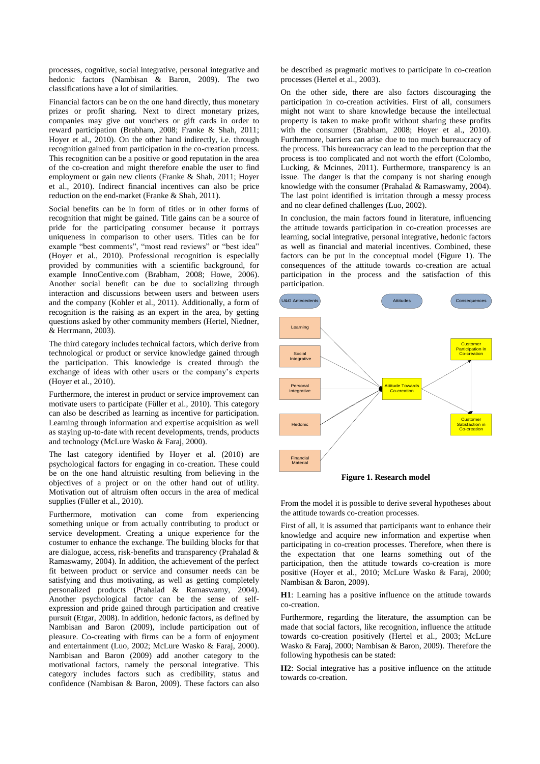processes, cognitive, social integrative, personal integrative and hedonic factors (Nambisan & Baron, 2009). The two classifications have a lot of similarities.

Financial factors can be on the one hand directly, thus monetary prizes or profit sharing. Next to direct monetary prizes, companies may give out vouchers or gift cards in order to reward participation (Brabham, 2008; Franke & Shah, 2011; Hoyer et al., 2010). On the other hand indirectly, i.e. through recognition gained from participation in the co-creation process. This recognition can be a positive or good reputation in the area of the co-creation and might therefore enable the user to find employment or gain new clients (Franke & Shah, 2011; Hoyer et al., 2010). Indirect financial incentives can also be price reduction on the end-market (Franke & Shah, 2011).

Social benefits can be in form of titles or in other forms of recognition that might be gained. Title gains can be a source of pride for the participating consumer because it portrays uniqueness in comparison to other users. Titles can be for example "best comments", "most read reviews" or "best idea" (Hoyer et al., 2010). Professional recognition is especially provided by communities with a scientific background, for example InnoCentive.com (Brabham, 2008; Howe, 2006). Another social benefit can be due to socializing through interaction and discussions between users and between users and the company (Kohler et al., 2011). Additionally, a form of recognition is the raising as an expert in the area, by getting questions asked by other community members (Hertel, Niedner, & Herrmann, 2003).

The third category includes technical factors, which derive from technological or product or service knowledge gained through the participation. This knowledge is created through the exchange of ideas with other users or the company's experts (Hoyer et al., 2010).

Furthermore, the interest in product or service improvement can motivate users to participate (Füller et al., 2010). This category can also be described as learning as incentive for participation. Learning through information and expertise acquisition as well as staying up-to-date with recent developments, trends, products and technology (McLure Wasko & Faraj, 2000).

The last category identified by Hoyer et al. (2010) are psychological factors for engaging in co-creation. These could be on the one hand altruistic resulting from believing in the objectives of a project or on the other hand out of utility. Motivation out of altruism often occurs in the area of medical supplies (Füller et al., 2010).

Furthermore, motivation can come from experiencing something unique or from actually contributing to product or service development. Creating a unique experience for the costumer to enhance the exchange. The building blocks for that are dialogue, access, risk-benefits and transparency (Prahalad & Ramaswamy, 2004). In addition, the achievement of the perfect fit between product or service and consumer needs can be satisfying and thus motivating, as well as getting completely personalized products (Prahalad & Ramaswamy, 2004). Another psychological factor can be the sense of selfexpression and pride gained through participation and creative pursuit (Etgar, 2008). In addition, hedonic factors, as defined by Nambisan and Baron (2009), include participation out of pleasure. Co-creating with firms can be a form of enjoyment and entertainment (Luo, 2002; McLure Wasko & Faraj, 2000). Nambisan and Baron (2009) add another category to the motivational factors, namely the personal integrative. This category includes factors such as credibility, status and confidence (Nambisan & Baron, 2009). These factors can also

be described as pragmatic motives to participate in co-creation processes (Hertel et al., 2003).

On the other side, there are also factors discouraging the participation in co-creation activities. First of all, consumers might not want to share knowledge because the intellectual property is taken to make profit without sharing these profits with the consumer (Brabham, 2008; Hoyer et al., 2010). Furthermore, barriers can arise due to too much bureaucracy of the process. This bureaucracy can lead to the perception that the process is too complicated and not worth the effort (Colombo, Lucking, & Mcinnes, 2011). Furthermore, transparency is an issue. The danger is that the company is not sharing enough knowledge with the consumer (Prahalad & Ramaswamy, 2004). The last point identified is irritation through a messy process and no clear defined challenges (Luo, 2002).

In conclusion, the main factors found in literature, influencing the attitude towards participation in co-creation processes are learning, social integrative, personal integrative, hedonic factors as well as financial and material incentives. Combined, these factors can be put in the conceptual model (Figure 1). The consequences of the attitude towards co-creation are actual participation in the process and the satisfaction of this participation.



**Figure 1. Research model**

From the model it is possible to derive several hypotheses about the attitude towards co-creation processes.

First of all, it is assumed that participants want to enhance their knowledge and acquire new information and expertise when participating in co-creation processes. Therefore, when there is the expectation that one learns something out of the participation, then the attitude towards co-creation is more positive (Hoyer et al., 2010; McLure Wasko & Faraj, 2000; Nambisan & Baron, 2009).

**H1**: Learning has a positive influence on the attitude towards co-creation.

Furthermore, regarding the literature, the assumption can be made that social factors, like recognition, influence the attitude towards co-creation positively (Hertel et al., 2003; McLure Wasko & Faraj, 2000; Nambisan & Baron, 2009). Therefore the following hypothesis can be stated:

**H2**: Social integrative has a positive influence on the attitude towards co-creation.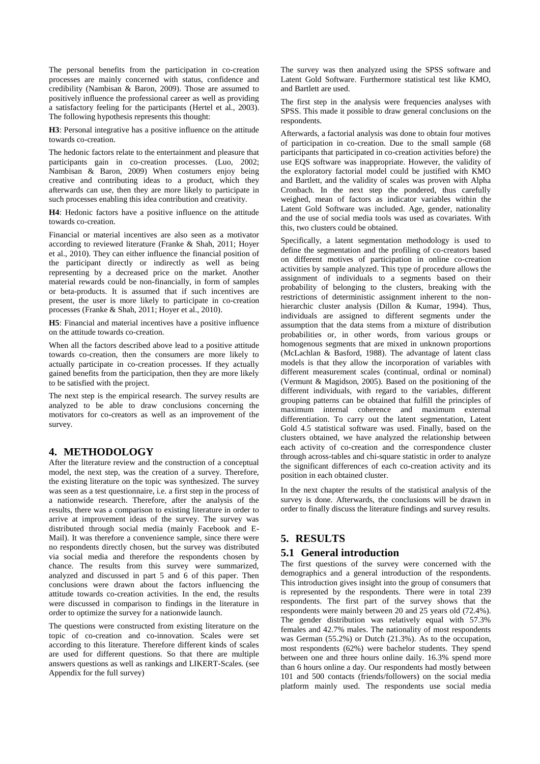The personal benefits from the participation in co-creation processes are mainly concerned with status, confidence and credibility (Nambisan & Baron, 2009). Those are assumed to positively influence the professional career as well as providing a satisfactory feeling for the participants (Hertel et al., 2003). The following hypothesis represents this thought:

**H3**: Personal integrative has a positive influence on the attitude towards co-creation.

The hedonic factors relate to the entertainment and pleasure that participants gain in co-creation processes. (Luo, 2002; Nambisan & Baron, 2009) When costumers enjoy being creative and contributing ideas to a product, which they afterwards can use, then they are more likely to participate in such processes enabling this idea contribution and creativity.

**H4**: Hedonic factors have a positive influence on the attitude towards co-creation.

Financial or material incentives are also seen as a motivator according to reviewed literature (Franke & Shah, 2011; Hoyer et al., 2010). They can either influence the financial position of the participant directly or indirectly as well as being representing by a decreased price on the market. Another material rewards could be non-financially, in form of samples or beta-products. It is assumed that if such incentives are present, the user is more likely to participate in co-creation processes (Franke & Shah, 2011; Hoyer et al., 2010).

**H5**: Financial and material incentives have a positive influence on the attitude towards co-creation.

When all the factors described above lead to a positive attitude towards co-creation, then the consumers are more likely to actually participate in co-creation processes. If they actually gained benefits from the participation, then they are more likely to be satisfied with the project.

The next step is the empirical research. The survey results are analyzed to be able to draw conclusions concerning the motivators for co-creators as well as an improvement of the survey.

### **4. METHODOLOGY**

After the literature review and the construction of a conceptual model, the next step, was the creation of a survey. Therefore, the existing literature on the topic was synthesized. The survey was seen as a test questionnaire, i.e. a first step in the process of a nationwide research. Therefore, after the analysis of the results, there was a comparison to existing literature in order to arrive at improvement ideas of the survey. The survey was distributed through social media (mainly Facebook and E-Mail). It was therefore a convenience sample, since there were no respondents directly chosen, but the survey was distributed via social media and therefore the respondents chosen by chance. The results from this survey were summarized, analyzed and discussed in part 5 and 6 of this paper. Then conclusions were drawn about the factors influencing the attitude towards co-creation activities. In the end, the results were discussed in comparison to findings in the literature in order to optimize the survey for a nationwide launch.

The questions were constructed from existing literature on the topic of co-creation and co-innovation. Scales were set according to this literature. Therefore different kinds of scales are used for different questions. So that there are multiple answers questions as well as rankings and LIKERT-Scales. (see Appendix for the full survey)

The survey was then analyzed using the SPSS software and Latent Gold Software. Furthermore statistical test like KMO, and Bartlett are used.

The first step in the analysis were frequencies analyses with SPSS. This made it possible to draw general conclusions on the respondents.

Afterwards, a factorial analysis was done to obtain four motives of participation in co-creation. Due to the small sample (68 participants that participated in co-creation activities before) the use EQS software was inappropriate. However, the validity of the exploratory factorial model could be justified with KMO and Bartlett, and the validity of scales was proven with Alpha Cronbach. In the next step the pondered, thus carefully weighed, mean of factors as indicator variables within the Latent Gold Software was included. Age, gender, nationality and the use of social media tools was used as covariates. With this, two clusters could be obtained.

Specifically, a latent segmentation methodology is used to define the segmentation and the profiling of co-creators based on different motives of participation in online co-creation activities by sample analyzed. This type of procedure allows the assignment of individuals to a segments based on their probability of belonging to the clusters, breaking with the restrictions of deterministic assignment inherent to the nonhierarchic cluster analysis (Dillon & Kumar, 1994). Thus, individuals are assigned to different segments under the assumption that the data stems from a mixture of distribution probabilities or, in other words, from various groups or homogenous segments that are mixed in unknown proportions (McLachlan & Basford, 1988). The advantage of latent class models is that they allow the incorporation of variables with different measurement scales (continual, ordinal or nominal) (Vermunt & Magidson, 2005). Based on the positioning of the different individuals, with regard to the variables, different grouping patterns can be obtained that fulfill the principles of maximum internal coherence and maximum external differentiation. To carry out the latent segmentation, Latent Gold 4.5 statistical software was used. Finally, based on the clusters obtained, we have analyzed the relationship between each activity of co-creation and the correspondence cluster through across-tables and chi-square statistic in order to analyze the significant differences of each co-creation activity and its position in each obtained cluster.

In the next chapter the results of the statistical analysis of the survey is done. Afterwards, the conclusions will be drawn in order to finally discuss the literature findings and survey results.

### **5. RESULTS**

#### **5.1 General introduction**

The first questions of the survey were concerned with the demographics and a general introduction of the respondents. This introduction gives insight into the group of consumers that is represented by the respondents. There were in total 239 respondents. The first part of the survey shows that the respondents were mainly between 20 and 25 years old (72.4%). The gender distribution was relatively equal with 57.3% females and 42.7% males. The nationality of most respondents was German (55.2%) or Dutch (21.3%). As to the occupation, most respondents (62%) were bachelor students. They spend between one and three hours online daily. 16.3% spend more than 6 hours online a day. Our respondents had mostly between 101 and 500 contacts (friends/followers) on the social media platform mainly used. The respondents use social media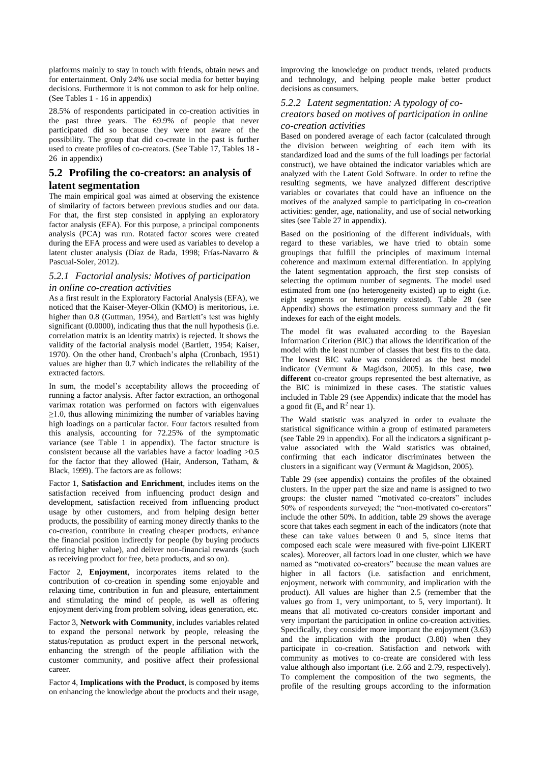platforms mainly to stay in touch with friends, obtain news and for entertainment. Only 24% use social media for better buying decisions. Furthermore it is not common to ask for help online. (See Tables 1 - 16 in appendix)

28.5% of respondents participated in co-creation activities in the past three years. The 69.9% of people that never participated did so because they were not aware of the possibility. The group that did co-create in the past is further used to create profiles of co-creators. (See Table 17, Tables 18 - 26 in appendix)

# **5.2 Profiling the co-creators: an analysis of latent segmentation**

The main empirical goal was aimed at observing the existence of similarity of factors between previous studies and our data. For that, the first step consisted in applying an exploratory factor analysis (EFA). For this purpose, a principal components analysis (PCA) was run. Rotated factor scores were created during the EFA process and were used as variables to develop a latent cluster analysis (Díaz de Rada, 1998; Frías-Navarro & Pascual-Soler, 2012).

### *5.2.1 Factorial analysis: Motives of participation in online co-creation activities*

As a first result in the Exploratory Factorial Analysis (EFA), we noticed that the Kaiser-Meyer-Olkin (KMO) is meritorious, i.e. higher than 0.8 (Guttman, 1954), and Bartlett's test was highly significant (0.0000), indicating thus that the null hypothesis (i.e. correlation matrix is an identity matrix) is rejected. It shows the validity of the factorial analysis model (Bartlett, 1954; Kaiser, 1970). On the other hand, Cronbach's alpha (Cronbach, 1951) values are higher than 0.7 which indicates the reliability of the extracted factors.

In sum, the model's acceptability allows the proceeding of running a factor analysis. After factor extraction, an orthogonal varimax rotation was performed on factors with eigenvalues  $\geq$ 1.0, thus allowing minimizing the number of variables having high loadings on a particular factor. Four factors resulted from this analysis, accounting for 72.25% of the symptomatic variance (see Table 1 in appendix). The factor structure is consistent because all the variables have a factor loading >0.5 for the factor that they allowed (Hair, Anderson, Tatham, & Black, 1999). The factors are as follows:

Factor 1, **Satisfaction and Enrichment**, includes items on the satisfaction received from influencing product design and development, satisfaction received from influencing product usage by other customers, and from helping design better products, the possibility of earning money directly thanks to the co-creation, contribute in creating cheaper products, enhance the financial position indirectly for people (by buying products offering higher value), and deliver non-financial rewards (such as receiving product for free, beta products, and so on).

Factor 2, **Enjoyment**, incorporates items related to the contribution of co-creation in spending some enjoyable and relaxing time, contribution in fun and pleasure, entertainment and stimulating the mind of people, as well as offering enjoyment deriving from problem solving, ideas generation, etc.

Factor 3, **Network with Community**, includes variables related to expand the personal network by people, releasing the status/reputation as product expert in the personal network, enhancing the strength of the people affiliation with the customer community, and positive affect their professional career.

Factor 4, **Implications with the Product**, is composed by items on enhancing the knowledge about the products and their usage, improving the knowledge on product trends, related products and technology, and helping people make better product decisions as consumers.

# *5.2.2 Latent segmentation: A typology of co-*

#### *creators based on motives of participation in online co-creation activities*

Based on pondered average of each factor (calculated through the division between weighting of each item with its standardized load and the sums of the full loadings per factorial construct), we have obtained the indicator variables which are analyzed with the Latent Gold Software. In order to refine the resulting segments, we have analyzed different descriptive variables or covariates that could have an influence on the motives of the analyzed sample to participating in co-creation activities: gender, age, nationality, and use of social networking sites (see Table 27 in appendix).

Based on the positioning of the different individuals, with regard to these variables, we have tried to obtain some groupings that fulfill the principles of maximum internal coherence and maximum external differentiation. In applying the latent segmentation approach, the first step consists of selecting the optimum number of segments. The model used estimated from one (no heterogeneity existed) up to eight (i.e. eight segments or heterogeneity existed). Table 28 (see Appendix) shows the estimation process summary and the fit indexes for each of the eight models.

The model fit was evaluated according to the Bayesian Information Criterion (BIC) that allows the identification of the model with the least number of classes that best fits to the data. The lowest BIC value was considered as the best model indicator (Vermunt & Magidson, 2005). In this case, **two different** co-creator groups represented the best alternative, as the BIC is minimized in these cases. The statistic values included in Table 29 (see Appendix) indicate that the model has a good fit  $(E_s \text{ and } R^2 \text{ near } 1)$ .

The Wald statistic was analyzed in order to evaluate the statistical significance within a group of estimated parameters (see Table 29 in appendix). For all the indicators a significant pvalue associated with the Wald statistics was obtained, confirming that each indicator discriminates between the clusters in a significant way (Vermunt & Magidson, 2005).

Table 29 (see appendix) contains the profiles of the obtained clusters. In the upper part the size and name is assigned to two groups: the cluster named "motivated co-creators" includes 50% of respondents surveyed; the "non-motivated co-creators" include the other 50%. In addition, table 29 shows the average score that takes each segment in each of the indicators (note that these can take values between 0 and 5, since items that composed each scale were measured with five-point LIKERT scales). Moreover, all factors load in one cluster, which we have named as "motivated co-creators" because the mean values are higher in all factors (i.e. satisfaction and enrichment, enjoyment, network with community, and implication with the product). All values are higher than 2.5 (remember that the values go from 1, very unimportant, to 5, very important). It means that all motivated co-creators consider important and very important the participation in online co-creation activities. Specifically, they consider more important the enjoyment (3.63) and the implication with the product (3.80) when they participate in co-creation. Satisfaction and network with community as motives to co-create are considered with less value although also important (i.e. 2.66 and 2.79, respectively). To complement the composition of the two segments, the profile of the resulting groups according to the information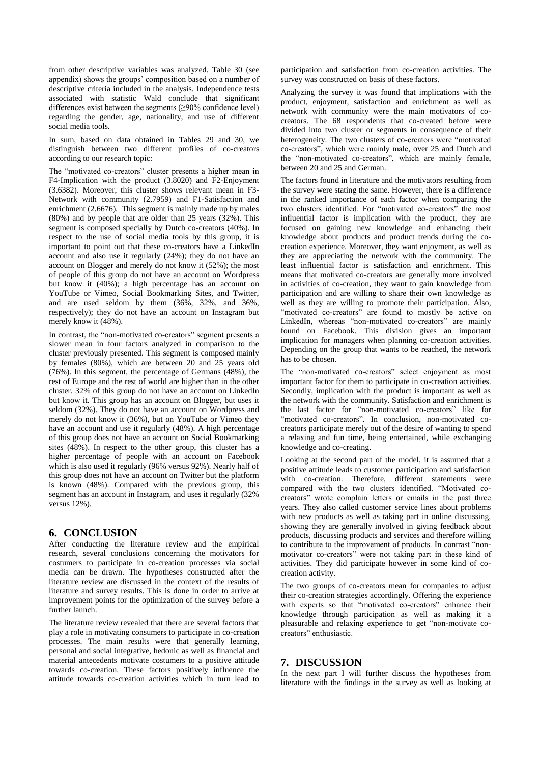from other descriptive variables was analyzed. Table 30 (see appendix) shows the groups' composition based on a number of descriptive criteria included in the analysis. Independence tests associated with statistic Wald conclude that significant differences exist between the segments (≥90% confidence level) regarding the gender, age, nationality, and use of different social media tools.

In sum, based on data obtained in Tables 29 and 30, we distinguish between two different profiles of co-creators according to our research topic:

The "motivated co-creators" cluster presents a higher mean in F4-Implication with the product (3.8020) and F2-Enjoyment (3.6382). Moreover, this cluster shows relevant mean in F3- Network with community (2.7959) and F1-Satisfaction and enrichment (2.6676). This segment is mainly made up by males (80%) and by people that are older than 25 years (32%). This segment is composed specially by Dutch co-creators (40%). In respect to the use of social media tools by this group, it is important to point out that these co-creators have a LinkedIn account and also use it regularly (24%); they do not have an account on Blogger and merely do not know it (52%); the most of people of this group do not have an account on Wordpress but know it (40%); a high percentage has an account on YouTube or Vimeo, Social Bookmarking Sites, and Twitter, and are used seldom by them (36%, 32%, and 36%, respectively); they do not have an account on Instagram but merely know it (48%).

In contrast, the "non-motivated co-creators" segment presents a slower mean in four factors analyzed in comparison to the cluster previously presented. This segment is composed mainly by females (80%), which are between 20 and 25 years old (76%). In this segment, the percentage of Germans (48%), the rest of Europe and the rest of world are higher than in the other cluster. 32% of this group do not have an account on LinkedIn but know it. This group has an account on Blogger, but uses it seldom (32%). They do not have an account on Wordpress and merely do not know it (36%), but on YouTube or Vimeo they have an account and use it regularly (48%). A high percentage of this group does not have an account on Social Bookmarking sites (48%). In respect to the other group, this cluster has a higher percentage of people with an account on Facebook which is also used it regularly (96% versus 92%). Nearly half of this group does not have an account on Twitter but the platform is known (48%). Compared with the previous group, this segment has an account in Instagram, and uses it regularly (32% versus 12%).

# **6. CONCLUSION**

After conducting the literature review and the empirical research, several conclusions concerning the motivators for costumers to participate in co-creation processes via social media can be drawn. The hypotheses constructed after the literature review are discussed in the context of the results of literature and survey results. This is done in order to arrive at improvement points for the optimization of the survey before a further launch.

The literature review revealed that there are several factors that play a role in motivating consumers to participate in co-creation processes. The main results were that generally learning, personal and social integrative, hedonic as well as financial and material antecedents motivate costumers to a positive attitude towards co-creation. These factors positively influence the attitude towards co-creation activities which in turn lead to participation and satisfaction from co-creation activities. The survey was constructed on basis of these factors.

Analyzing the survey it was found that implications with the product, enjoyment, satisfaction and enrichment as well as network with community were the main motivators of cocreators. The 68 respondents that co-created before were divided into two cluster or segments in consequence of their heterogeneity. The two clusters of co-creators were "motivated co-creators", which were mainly male, over 25 and Dutch and the "non-motivated co-creators", which are mainly female, between 20 and 25 and German.

The factors found in literature and the motivators resulting from the survey were stating the same. However, there is a difference in the ranked importance of each factor when comparing the two clusters identified. For "motivated co-creators" the most influential factor is implication with the product, they are focused on gaining new knowledge and enhancing their knowledge about products and product trends during the cocreation experience. Moreover, they want enjoyment, as well as they are appreciating the network with the community. The least influential factor is satisfaction and enrichment. This means that motivated co-creators are generally more involved in activities of co-creation, they want to gain knowledge from participation and are willing to share their own knowledge as well as they are willing to promote their participation. Also, "motivated co-creators" are found to mostly be active on LinkedIn, whereas "non-motivated co-creators" are mainly found on Facebook. This division gives an important implication for managers when planning co-creation activities. Depending on the group that wants to be reached, the network has to be chosen.

The "non-motivated co-creators" select enjoyment as most important factor for them to participate in co-creation activities. Secondly, implication with the product is important as well as the network with the community. Satisfaction and enrichment is the last factor for "non-motivated co-creators" like for "motivated co-creators". In conclusion, non-motivated cocreators participate merely out of the desire of wanting to spend a relaxing and fun time, being entertained, while exchanging knowledge and co-creating.

Looking at the second part of the model, it is assumed that a positive attitude leads to customer participation and satisfaction with co-creation. Therefore, different statements were compared with the two clusters identified. "Motivated cocreators" wrote complain letters or emails in the past three years. They also called customer service lines about problems with new products as well as taking part in online discussing, showing they are generally involved in giving feedback about products, discussing products and services and therefore willing to contribute to the improvement of products. In contrast "nonmotivator co-creators" were not taking part in these kind of activities. They did participate however in some kind of cocreation activity.

The two groups of co-creators mean for companies to adjust their co-creation strategies accordingly. Offering the experience with experts so that "motivated co-creators" enhance their knowledge through participation as well as making it a pleasurable and relaxing experience to get "non-motivate cocreators" enthusiastic.

# **7. DISCUSSION**

In the next part I will further discuss the hypotheses from literature with the findings in the survey as well as looking at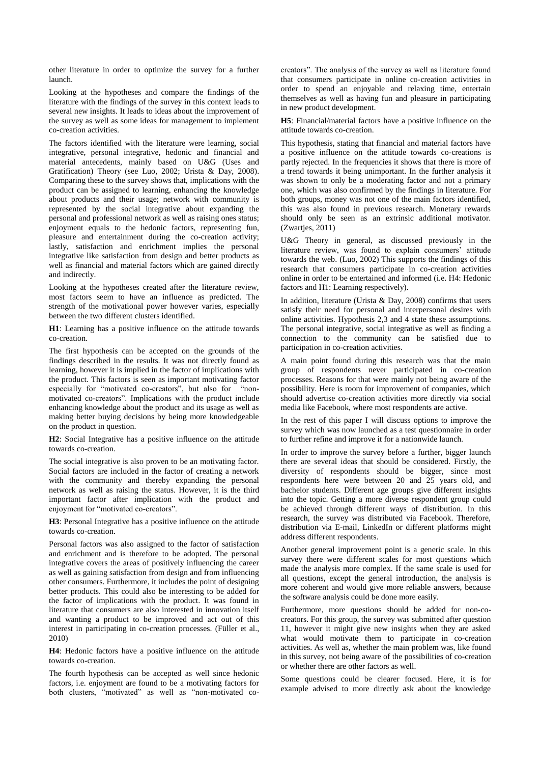other literature in order to optimize the survey for a further launch.

Looking at the hypotheses and compare the findings of the literature with the findings of the survey in this context leads to several new insights. It leads to ideas about the improvement of the survey as well as some ideas for management to implement co-creation activities.

The factors identified with the literature were learning, social integrative, personal integrative, hedonic and financial and material antecedents, mainly based on U&G (Uses and Gratification) Theory (see Luo, 2002; Urista & Day, 2008). Comparing these to the survey shows that, implications with the product can be assigned to learning, enhancing the knowledge about products and their usage; network with community is represented by the social integrative about expanding the personal and professional network as well as raising ones status; enjoyment equals to the hedonic factors, representing fun, pleasure and entertainment during the co-creation activity; lastly, satisfaction and enrichment implies the personal integrative like satisfaction from design and better products as well as financial and material factors which are gained directly and indirectly.

Looking at the hypotheses created after the literature review, most factors seem to have an influence as predicted. The strength of the motivational power however varies, especially between the two different clusters identified.

**H1**: Learning has a positive influence on the attitude towards co-creation.

The first hypothesis can be accepted on the grounds of the findings described in the results. It was not directly found as learning, however it is implied in the factor of implications with the product. This factors is seen as important motivating factor especially for "motivated co-creators", but also for "nonmotivated co-creators". Implications with the product include enhancing knowledge about the product and its usage as well as making better buying decisions by being more knowledgeable on the product in question.

**H2**: Social Integrative has a positive influence on the attitude towards co-creation.

The social integrative is also proven to be an motivating factor. Social factors are included in the factor of creating a network with the community and thereby expanding the personal network as well as raising the status. However, it is the third important factor after implication with the product and enjoyment for "motivated co-creators".

**H3**: Personal Integrative has a positive influence on the attitude towards co-creation.

Personal factors was also assigned to the factor of satisfaction and enrichment and is therefore to be adopted. The personal integrative covers the areas of positively influencing the career as well as gaining satisfaction from design and from influencing other consumers. Furthermore, it includes the point of designing better products. This could also be interesting to be added for the factor of implications with the product. It was found in literature that consumers are also interested in innovation itself and wanting a product to be improved and act out of this interest in participating in co-creation processes. (Füller et al., 2010)

**H4**: Hedonic factors have a positive influence on the attitude towards co-creation.

The fourth hypothesis can be accepted as well since hedonic factors, i.e. enjoyment are found to be a motivating factors for both clusters, "motivated" as well as "non-motivated cocreators". The analysis of the survey as well as literature found that consumers participate in online co-creation activities in order to spend an enjoyable and relaxing time, entertain themselves as well as having fun and pleasure in participating in new product development.

**H5**: Financial/material factors have a positive influence on the attitude towards co-creation.

This hypothesis, stating that financial and material factors have a positive influence on the attitude towards co-creations is partly rejected. In the frequencies it shows that there is more of a trend towards it being unimportant. In the further analysis it was shown to only be a moderating factor and not a primary one, which was also confirmed by the findings in literature. For both groups, money was not one of the main factors identified, this was also found in previous research. Monetary rewards should only be seen as an extrinsic additional motivator. (Zwartjes, 2011)

U&G Theory in general, as discussed previously in the literature review, was found to explain consumers' attitude towards the web. (Luo, 2002) This supports the findings of this research that consumers participate in co-creation activities online in order to be entertained and informed (i.e. H4: Hedonic factors and H1: Learning respectively).

In addition, literature (Urista & Day, 2008) confirms that users satisfy their need for personal and interpersonal desires with online activities. Hypothesis 2,3 and 4 state these assumptions. The personal integrative, social integrative as well as finding a connection to the community can be satisfied due to participation in co-creation activities.

A main point found during this research was that the main group of respondents never participated in co-creation processes. Reasons for that were mainly not being aware of the possibility. Here is room for improvement of companies, which should advertise co-creation activities more directly via social media like Facebook, where most respondents are active.

In the rest of this paper I will discuss options to improve the survey which was now launched as a test questionnaire in order to further refine and improve it for a nationwide launch.

In order to improve the survey before a further, bigger launch there are several ideas that should be considered. Firstly, the diversity of respondents should be bigger, since most respondents here were between 20 and 25 years old, and bachelor students. Different age groups give different insights into the topic. Getting a more diverse respondent group could be achieved through different ways of distribution. In this research, the survey was distributed via Facebook. Therefore, distribution via E-mail, LinkedIn or different platforms might address different respondents.

Another general improvement point is a generic scale. In this survey there were different scales for most questions which made the analysis more complex. If the same scale is used for all questions, except the general introduction, the analysis is more coherent and would give more reliable answers, because the software analysis could be done more easily.

Furthermore, more questions should be added for non-cocreators. For this group, the survey was submitted after question 11, however it might give new insights when they are asked what would motivate them to participate in co-creation activities. As well as, whether the main problem was, like found in this survey, not being aware of the possibilities of co-creation or whether there are other factors as well.

Some questions could be clearer focused. Here, it is for example advised to more directly ask about the knowledge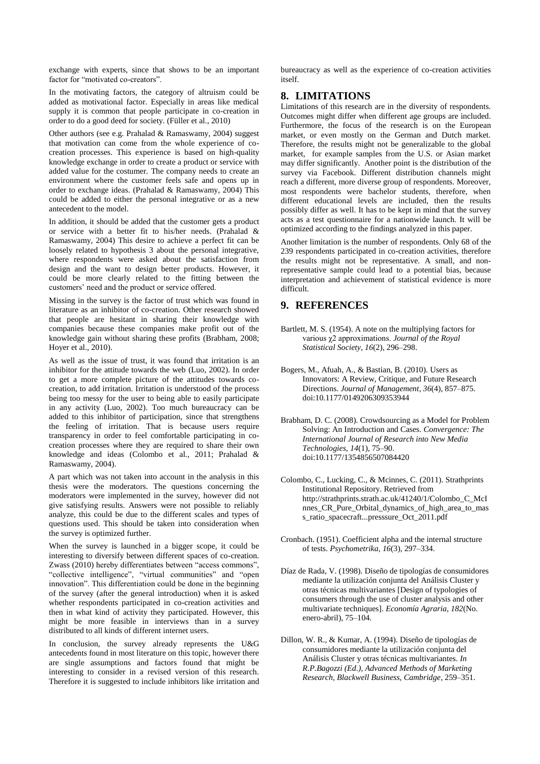exchange with experts, since that shows to be an important factor for "motivated co-creators".

In the motivating factors, the category of altruism could be added as motivational factor. Especially in areas like medical supply it is common that people participate in co-creation in order to do a good deed for society. (Füller et al., 2010)

Other authors (see e.g. Prahalad & Ramaswamy, 2004) suggest that motivation can come from the whole experience of cocreation processes. This experience is based on high-quality knowledge exchange in order to create a product or service with added value for the costumer. The company needs to create an environment where the customer feels safe and opens up in order to exchange ideas. (Prahalad & Ramaswamy, 2004) This could be added to either the personal integrative or as a new antecedent to the model.

In addition, it should be added that the customer gets a product or service with a better fit to his/her needs. (Prahalad & Ramaswamy, 2004) This desire to achieve a perfect fit can be loosely related to hypothesis 3 about the personal integrative, where respondents were asked about the satisfaction from design and the want to design better products. However, it could be more clearly related to the fitting between the customers' need and the product or service offered.

Missing in the survey is the factor of trust which was found in literature as an inhibitor of co-creation. Other research showed that people are hesitant in sharing their knowledge with companies because these companies make profit out of the knowledge gain without sharing these profits (Brabham, 2008; Hoyer et al., 2010).

As well as the issue of trust, it was found that irritation is an inhibitor for the attitude towards the web (Luo, 2002). In order to get a more complete picture of the attitudes towards cocreation, to add irritation. Irritation is understood of the process being too messy for the user to being able to easily participate in any activity (Luo, 2002). Too much bureaucracy can be added to this inhibitor of participation, since that strengthens the feeling of irritation. That is because users require transparency in order to feel comfortable participating in cocreation processes where they are required to share their own knowledge and ideas (Colombo et al., 2011; Prahalad & Ramaswamy, 2004).

A part which was not taken into account in the analysis in this thesis were the moderators. The questions concerning the moderators were implemented in the survey, however did not give satisfying results. Answers were not possible to reliably analyze, this could be due to the different scales and types of questions used. This should be taken into consideration when the survey is optimized further.

When the survey is launched in a bigger scope, it could be interesting to diversify between different spaces of co-creation. Zwass (2010) hereby differentiates between "access commons", "collective intelligence", "virtual communities" and "open innovation". This differentiation could be done in the beginning of the survey (after the general introduction) when it is asked whether respondents participated in co-creation activities and then in what kind of activity they participated. However, this might be more feasible in interviews than in a survey distributed to all kinds of different internet users.

In conclusion, the survey already represents the U&G antecedents found in most literature on this topic, however there are single assumptions and factors found that might be interesting to consider in a revised version of this research. Therefore it is suggested to include inhibitors like irritation and

bureaucracy as well as the experience of co-creation activities itself.

# **8. LIMITATIONS**

Limitations of this research are in the diversity of respondents. Outcomes might differ when different age groups are included. Furthermore, the focus of the research is on the European market, or even mostly on the German and Dutch market. Therefore, the results might not be generalizable to the global market, for example samples from the U.S. or Asian market may differ significantly. Another point is the distribution of the survey via Facebook. Different distribution channels might reach a different, more diverse group of respondents. Moreover, most respondents were bachelor students, therefore, when different educational levels are included, then the results possibly differ as well. It has to be kept in mind that the survey acts as a test questionnaire for a nationwide launch. It will be optimized according to the findings analyzed in this paper.

Another limitation is the number of respondents. Only 68 of the 239 respondents participated in co-creation activities, therefore the results might not be representative. A small, and nonrepresentative sample could lead to a potential bias, because interpretation and achievement of statistical evidence is more difficult.

# **9. REFERENCES**

- Bartlett, M. S. (1954). A note on the multiplying factors for various χ2 approximations. *Journal of the Royal Statistical Society*, *16*(2), 296–298.
- Bogers, M., Afuah, A., & Bastian, B. (2010). Users as Innovators: A Review, Critique, and Future Research Directions. *Journal of Management*, *36*(4), 857–875. doi:10.1177/0149206309353944
- Brabham, D. C. (2008). Crowdsourcing as a Model for Problem Solving: An Introduction and Cases. *Convergence: The International Journal of Research into New Media Technologies*, *14*(1), 75–90. doi:10.1177/1354856507084420
- Colombo, C., Lucking, C., & Mcinnes, C. (2011). Strathprints Institutional Repository. Retrieved from http://strathprints.strath.ac.uk/41240/1/Colombo\_C\_McI nnes\_CR\_Pure\_Orbital\_dynamics\_of\_high\_area\_to\_mas s\_ratio\_spacecraft...presssure\_Oct\_2011.pdf
- Cronbach. (1951). Coefficient alpha and the internal structure of tests. *Psychometrika*, *16*(3), 297–334.
- Díaz de Rada, V. (1998). Diseño de tipologías de consumidores mediante la utilización conjunta del Análisis Cluster y otras técnicas multivariantes [Design of typologies of consumers through the use of cluster analysis and other multivariate techniques]. *Economía Agraria*, *182*(No. enero-abril), 75–104.
- Dillon, W. R., & Kumar, A. (1994). Diseño de tipologías de consumidores mediante la utilización conjunta del Análisis Cluster y otras técnicas multivariantes. *In R.P.Bagozzi (Ed.), Advanced Methods of Marketing Research, Blackwell Business, Cambridge*, 259–351.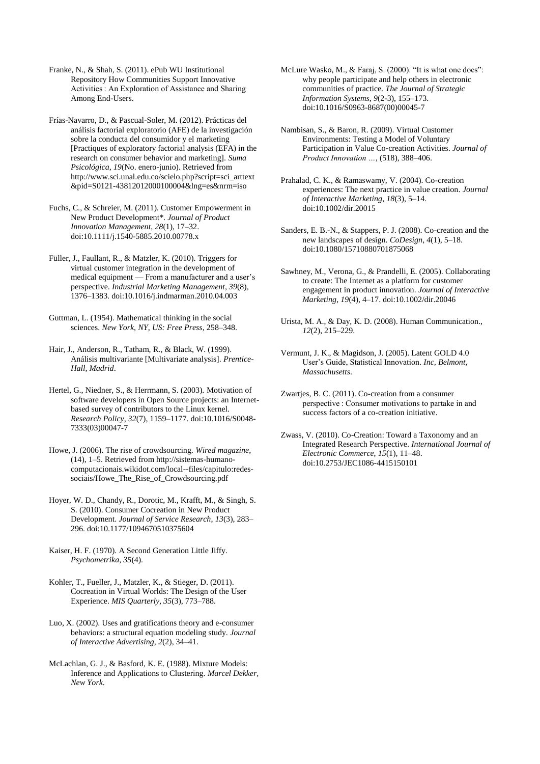Franke, N., & Shah, S. (2011). ePub WU Institutional Repository How Communities Support Innovative Activities : An Exploration of Assistance and Sharing Among End-Users.

Frías-Navarro, D., & Pascual-Soler, M. (2012). Prácticas del análisis factorial exploratorio (AFE) de la investigación sobre la conducta del consumidor y el marketing [Practiques of exploratory factorial analysis (EFA) in the research on consumer behavior and marketing]. *Suma Psicológica*, *19*(No. enero-junio). Retrieved from http://www.sci.unal.edu.co/scielo.php?script=sci\_arttext &pid=S0121-43812012000100004&lng=es&nrm=iso

Fuchs, C., & Schreier, M. (2011). Customer Empowerment in New Product Development\*. *Journal of Product Innovation Management*, *28*(1), 17–32. doi:10.1111/j.1540-5885.2010.00778.x

Füller, J., Faullant, R., & Matzler, K. (2010). Triggers for virtual customer integration in the development of medical equipment — From a manufacturer and a user's perspective. *Industrial Marketing Management*, *39*(8), 1376–1383. doi:10.1016/j.indmarman.2010.04.003

Guttman, L. (1954). Mathematical thinking in the social sciences. *New York, NY, US: Free Press*, 258–348.

Hair, J., Anderson, R., Tatham, R., & Black, W. (1999). Análisis multivariante [Multivariate analysis]. *Prentice-Hall, Madrid*.

Hertel, G., Niedner, S., & Herrmann, S. (2003). Motivation of software developers in Open Source projects: an Internetbased survey of contributors to the Linux kernel. *Research Policy*, *32*(7), 1159–1177. doi:10.1016/S0048- 7333(03)00047-7

Howe, J. (2006). The rise of crowdsourcing. *Wired magazine*, (14), 1–5. Retrieved from http://sistemas-humanocomputacionais.wikidot.com/local--files/capitulo:redessociais/Howe\_The\_Rise\_of\_Crowdsourcing.pdf

Hoyer, W. D., Chandy, R., Dorotic, M., Krafft, M., & Singh, S. S. (2010). Consumer Cocreation in New Product Development. *Journal of Service Research*, *13*(3), 283– 296. doi:10.1177/1094670510375604

Kaiser, H. F. (1970). A Second Generation Little Jiffy. *Psychometrika*, *35*(4).

Kohler, T., Fueller, J., Matzler, K., & Stieger, D. (2011). Cocreation in Virtual Worlds: The Design of the User Experience. *MIS Quarterly*, *35*(3), 773–788.

Luo, X. (2002). Uses and gratifications theory and e-consumer behaviors: a structural equation modeling study. *Journal of Interactive Advertising*, *2*(2), 34–41.

McLachlan, G. J., & Basford, K. E. (1988). Mixture Models: Inference and Applications to Clustering. *Marcel Dekker, New York*.

McLure Wasko, M., & Faraj, S. (2000). "It is what one does": why people participate and help others in electronic communities of practice. *The Journal of Strategic Information Systems*, *9*(2-3), 155–173. doi:10.1016/S0963-8687(00)00045-7

Nambisan, S., & Baron, R. (2009). Virtual Customer Environments: Testing a Model of Voluntary Participation in Value Co‐creation Activities. *Journal of Product Innovation …*, (518), 388–406.

Prahalad, C. K., & Ramaswamy, V. (2004). Co-creation experiences: The next practice in value creation. *Journal of Interactive Marketing*, *18*(3), 5–14. doi:10.1002/dir.20015

Sanders, E. B.-N., & Stappers, P. J. (2008). Co-creation and the new landscapes of design. *CoDesign*, *4*(1), 5–18. doi:10.1080/15710880701875068

Sawhney, M., Verona, G., & Prandelli, E. (2005). Collaborating to create: The Internet as a platform for customer engagement in product innovation. *Journal of Interactive Marketing*, *19*(4), 4–17. doi:10.1002/dir.20046

Urista, M. A., & Day, K. D. (2008). Human Communication., *12*(2), 215–229.

Vermunt, J. K., & Magidson, J. (2005). Latent GOLD 4.0 User's Guide, Statistical Innovation. *Inc, Belmont, Massachusetts*.

Zwartjes, B. C. (2011). Co-creation from a consumer perspective : Consumer motivations to partake in and success factors of a co-creation initiative.

Zwass, V. (2010). Co-Creation: Toward a Taxonomy and an Integrated Research Perspective. *International Journal of Electronic Commerce*, *15*(1), 11–48. doi:10.2753/JEC1086-4415150101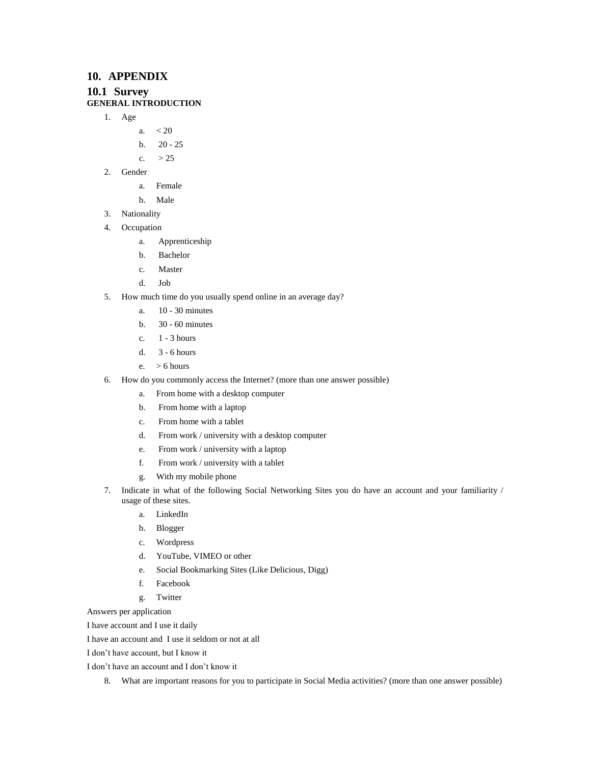# **10. APPENDIX**

# **10.1 Survey**

# **GENERAL INTRODUCTION**

- 1. Age
	- a.  $< 20$ 
		- b. 20 25
	- c.  $> 25$
- 2. Gender
	- a. Female
	- b. Male
- 3. Nationality
- 4. Occupation
	- a. Apprenticeship
	- b. Bachelor
	- c. Master
	- d. Job
- 5. How much time do you usually spend online in an average day?
	- a. 10 30 minutes
	- b. 30 60 minutes
	- c. 1 3 hours
	- d. 3 6 hours
	- e. > 6 hours
- 6. How do you commonly access the Internet? (more than one answer possible)
	- a. From home with a desktop computer
	- b. From home with a laptop
	- c. From home with a tablet
	- d. From work / university with a desktop computer
	- e. From work / university with a laptop
	- f. From work / university with a tablet
	- g. With my mobile phone
- 7. Indicate in what of the following Social Networking Sites you do have an account and your familiarity / usage of these sites.
	- a. LinkedIn
	- b. Blogger
	- c. Wordpress
	- d. YouTube, VIMEO or other
	- e. Social Bookmarking Sites (Like Delicious, Digg)
	- f. Facebook
	- g. Twitter

Answers per application

I have account and I use it daily

I have an account and I use it seldom or not at all

I don't have account, but I know it

I don't have an account and I don't know it

8. What are important reasons for you to participate in Social Media activities? (more than one answer possible)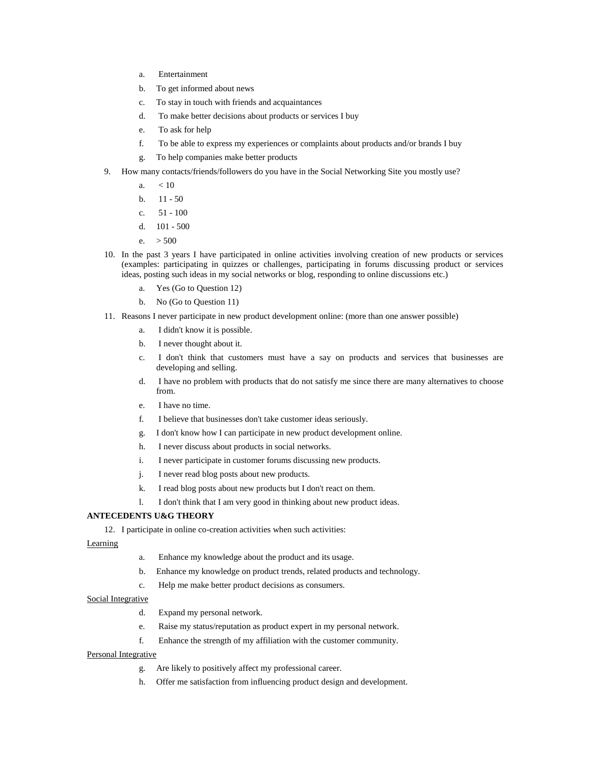- a. Entertainment
- b. To get informed about news
- c. To stay in touch with friends and acquaintances
- d. To make better decisions about products or services I buy
- e. To ask for help
- f. To be able to express my experiences or complaints about products and/or brands I buy
- g. To help companies make better products
- 9. How many contacts/friends/followers do you have in the Social Networking Site you mostly use?
	- a.  $< 10$
	- b.  $11 50$
	- c. 51 100
	- d. 101 500
	- e.  $> 500$
- 10. In the past 3 years I have participated in online activities involving creation of new products or services (examples: participating in quizzes or challenges, participating in forums discussing product or services ideas, posting such ideas in my social networks or blog, responding to online discussions etc.)
	- a. Yes (Go to Question 12)
	- b. No (Go to Question 11)
- 11. Reasons I never participate in new product development online: (more than one answer possible)
	- a. I didn't know it is possible.
	- b. I never thought about it.
	- c. I don't think that customers must have a say on products and services that businesses are developing and selling.
	- d. I have no problem with products that do not satisfy me since there are many alternatives to choose from.
	- e. I have no time.
	- f. I believe that businesses don't take customer ideas seriously.
	- g. I don't know how I can participate in new product development online.
	- h. I never discuss about products in social networks.
	- i. I never participate in customer forums discussing new products.
	- j. I never read blog posts about new products.
	- k. I read blog posts about new products but I don't react on them.
	- l. I don't think that I am very good in thinking about new product ideas.

#### **ANTECEDENTS U&G THEORY**

12. I participate in online co-creation activities when such activities:

#### Learning

- a. Enhance my knowledge about the product and its usage.
- b. Enhance my knowledge on product trends, related products and technology.
- c. Help me make better product decisions as consumers.

#### Social Integrative

- d. Expand my personal network.
- e. Raise my status/reputation as product expert in my personal network.
- f. Enhance the strength of my affiliation with the customer community.

#### Personal Integrative

- g. Are likely to positively affect my professional career.
- h. Offer me satisfaction from influencing product design and development.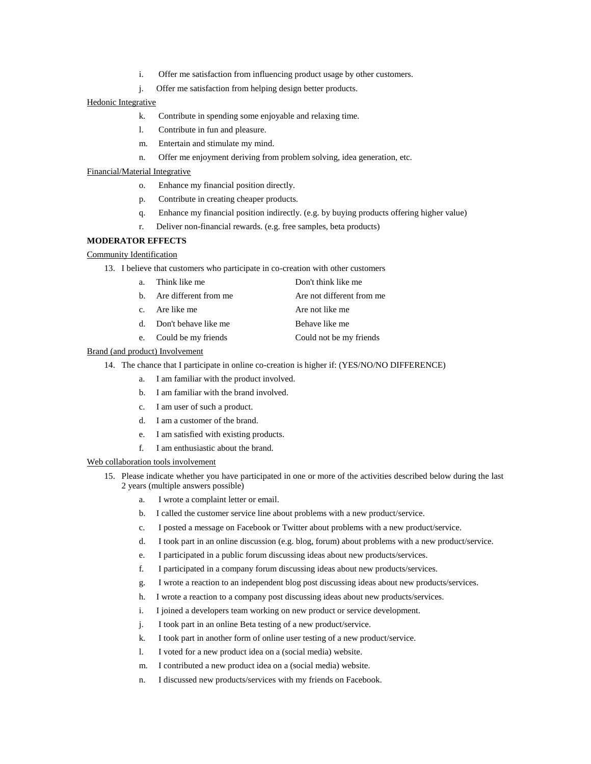- i. Offer me satisfaction from influencing product usage by other customers.
- j. Offer me satisfaction from helping design better products.

#### Hedonic Integrative

- k. Contribute in spending some enjoyable and relaxing time.
- l. Contribute in fun and pleasure.
- m. Entertain and stimulate my mind.
- n. Offer me enjoyment deriving from problem solving, idea generation, etc.

#### Financial/Material Integrative

- o. Enhance my financial position directly.
- p. Contribute in creating cheaper products.
- q. Enhance my financial position indirectly. (e.g. by buying products offering higher value)
- r. Deliver non-financial rewards. (e.g. free samples, beta products)

#### **MODERATOR EFFECTS**

### Community Identification

13. I believe that customers who participate in co-creation with other customers

| a. Think like me         | Don't think like me       |
|--------------------------|---------------------------|
| b. Are different from me | Are not different from me |
| c. Are like me           | Are not like me           |
| d. Don't behave like me  | Behave like me            |
| e. Could be my friends   | Could not be my friends   |

#### Brand (and product) Involvement

14. The chance that I participate in online co-creation is higher if: (YES/NO/NO DIFFERENCE)

- a. I am familiar with the product involved.
	- b. I am familiar with the brand involved.
	- c. I am user of such a product.
	- d. I am a customer of the brand.
	- e. I am satisfied with existing products.
	- f. I am enthusiastic about the brand.

#### Web collaboration tools involvement

- 15. Please indicate whether you have participated in one or more of the activities described below during the last 2 years (multiple answers possible)
	- a. I wrote a complaint letter or email.
	- b. I called the customer service line about problems with a new product/service.
	- c. I posted a message on Facebook or Twitter about problems with a new product/service.
	- d. I took part in an online discussion (e.g. blog, forum) about problems with a new product/service.
	- e. I participated in a public forum discussing ideas about new products/services.
	- f. I participated in a company forum discussing ideas about new products/services.
	- g. I wrote a reaction to an independent blog post discussing ideas about new products/services.
	- h. I wrote a reaction to a company post discussing ideas about new products/services.
	- i. I joined a developers team working on new product or service development.
	- j. I took part in an online Beta testing of a new product/service.
	- k. I took part in another form of online user testing of a new product/service.
	- l. I voted for a new product idea on a (social media) website.
	- m. I contributed a new product idea on a (social media) website.
	- n. I discussed new products/services with my friends on Facebook.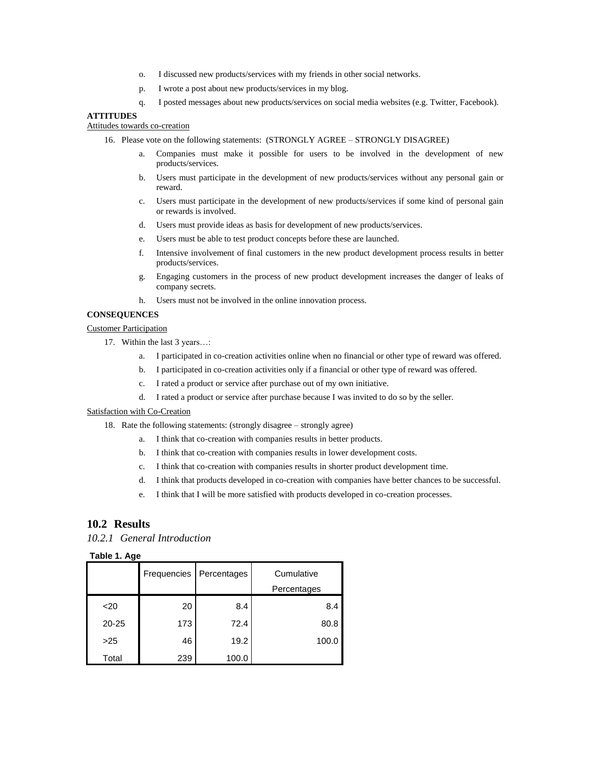- o. I discussed new products/services with my friends in other social networks.
- p. I wrote a post about new products/services in my blog.
- q. I posted messages about new products/services on social media websites (e.g. Twitter, Facebook).

### **ATTITUDES**

### Attitudes towards co-creation

- 16. Please vote on the following statements: (STRONGLY AGREE STRONGLY DISAGREE)
	- a. Companies must make it possible for users to be involved in the development of new products/services.
	- b. Users must participate in the development of new products/services without any personal gain or reward.
	- c. Users must participate in the development of new products/services if some kind of personal gain or rewards is involved.
	- d. Users must provide ideas as basis for development of new products/services.
	- e. Users must be able to test product concepts before these are launched.
	- f. Intensive involvement of final customers in the new product development process results in better products/services.
	- g. Engaging customers in the process of new product development increases the danger of leaks of company secrets.
	- h. Users must not be involved in the online innovation process.

#### **CONSEQUENCES**

#### Customer Participation

- 17. Within the last 3 years...:
	- a. I participated in co-creation activities online when no financial or other type of reward was offered.
	- b. I participated in co-creation activities only if a financial or other type of reward was offered.
	- c. I rated a product or service after purchase out of my own initiative.
	- d. I rated a product or service after purchase because I was invited to do so by the seller.

#### Satisfaction with Co-Creation

- 18. Rate the following statements: (strongly disagree strongly agree)
	- a. I think that co-creation with companies results in better products.
	- b. I think that co-creation with companies results in lower development costs.
	- c. I think that co-creation with companies results in shorter product development time.
	- d. I think that products developed in co-creation with companies have better chances to be successful.
	- e. I think that I will be more satisfied with products developed in co-creation processes.

#### **10.2 Results**

*10.2.1 General Introduction*

#### **Table 1. Age**

|           | Frequencies | Percentages | Cumulative  |
|-----------|-------------|-------------|-------------|
|           |             |             | Percentages |
| $20$      | 20          | 8.4         | 8.4         |
| $20 - 25$ | 173         | 72.4        | 80.8        |
| >25       | 46          | 19.2        | 100.0       |
| Total     | 239         | 100.0       |             |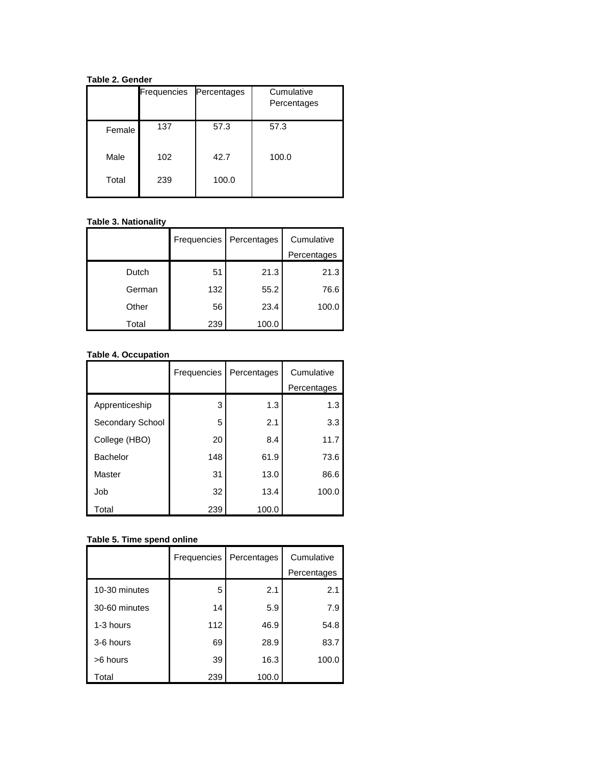**Table 2. Gender**

|        | <b>Frequencies</b> | Percentages | Cumulative<br>Percentages |
|--------|--------------------|-------------|---------------------------|
| Female | 137                | 57.3        | 57.3                      |
| Male   | 102                | 42.7        | 100.0                     |
| Total  | 239                | 100.0       |                           |

# **Table 3. Nationality**

|        | Frequencies | Percentages | Cumulative  |
|--------|-------------|-------------|-------------|
|        |             |             | Percentages |
| Dutch  | 51          | 21.3        | 21.3        |
| German | 132         | 55.2        | 76.6        |
| Other  | 56          | 23.4        | 100.0       |
| Total  | 239         | 100.0       |             |

# **Table 4. Occupation**

|                  | Frequencies | Percentages | Cumulative<br>Percentages |
|------------------|-------------|-------------|---------------------------|
| Apprenticeship   | 3           | 1.3         | 1.3                       |
| Secondary School | 5           | 2.1         | 3.3                       |
| College (HBO)    | 20          | 8.4         | 11.7                      |
| <b>Bachelor</b>  | 148         | 61.9        | 73.6                      |
| Master           | 31          | 13.0        | 86.6                      |
| Job              | 32          | 13.4        | 100.0                     |
| Total            | 239         | 100.0       |                           |

# **Table 5. Time spend online**

|               | Frequencies | Percentages | Cumulative  |
|---------------|-------------|-------------|-------------|
|               |             |             | Percentages |
| 10-30 minutes | 5           | 2.1         | 2.1         |
| 30-60 minutes | 14          | 5.9         | 7.9         |
| 1-3 hours     | 112         | 46.9        | 54.8        |
| 3-6 hours     | 69          | 28.9        | 83.7        |
| >6 hours      | 39          | 16.3        | 100.0       |
| Total         | 239         | 100.0       |             |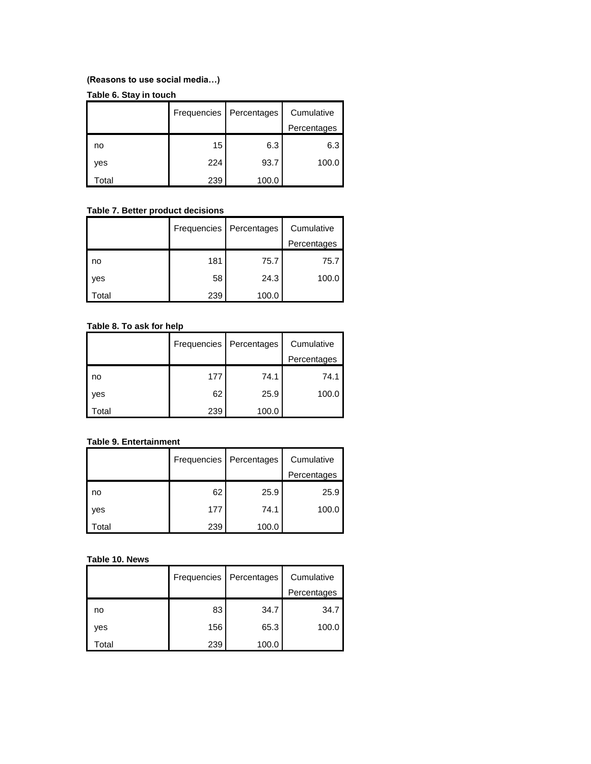# **(Reasons to use social media…)**

# **Table 6. Stay in touch**

|       | Frequencies | Percentages | Cumulative  |
|-------|-------------|-------------|-------------|
|       |             |             | Percentages |
| no    | 15          | 6.3         | 6.3         |
| yes   | 224         | 93.7        | 100.0       |
| Total | 239         | 100.0       |             |

# **Table 7. Better product decisions**

|       |     | Frequencies   Percentages | Cumulative  |
|-------|-----|---------------------------|-------------|
|       |     |                           | Percentages |
| no    | 181 | 75.7                      | 75.7        |
| yes   | 58  | 24.3                      | 100.0       |
| Total | 239 | 100.0                     |             |

# **Table 8. To ask for help**

|       | Frequencies | Percentages | Cumulative  |
|-------|-------------|-------------|-------------|
|       |             |             | Percentages |
| no    | 177         | 74.1        | 74.1        |
| yes   | 62          | 25.9        | 100.0       |
| Total | 239         | 100.0       |             |

# **Table 9. Entertainment**

|      |     | Frequencies   Percentages | Cumulative  |
|------|-----|---------------------------|-------------|
|      |     |                           | Percentages |
| l no | 62  | 25.9                      | 25.9        |
| yes  | 177 | 74.1                      | 100.0       |
| otal | 239 | 100.0                     |             |

# **Table 10. News**

|       | Frequencies | Percentages | Cumulative  |
|-------|-------------|-------------|-------------|
|       |             |             | Percentages |
| no    | 83          | 34.7        | 34.7        |
| yes   | 156         | 65.3        | 100.0       |
| Total | 239         | 100.0       |             |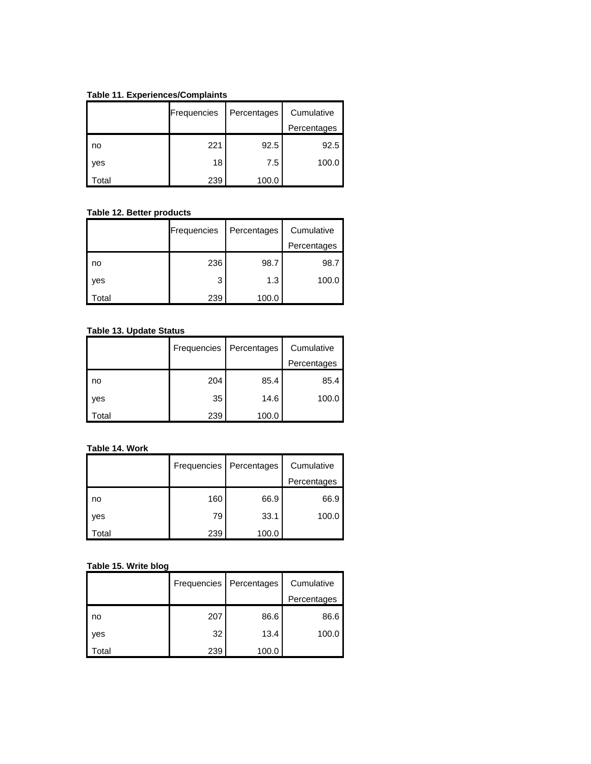**Table 11. Experiences/Complaints** 

|                   | Frequencies | Percentages | Cumulative  |
|-------------------|-------------|-------------|-------------|
|                   |             |             | Percentages |
| l no              | 221         | 92.5        | 92.5        |
| yes               | 18          | 7.5         | 100.0       |
| otal <sup>.</sup> | 239         | 100.0       |             |

# **Table 12. Better products**

|       | Frequencies | Percentages | Cumulative  |
|-------|-------------|-------------|-------------|
|       |             |             | Percentages |
| no    | 236         | 98.7        | 98.7        |
| yes   | 3           | 1.3         | 100.0       |
| Total | 239         | 100.0       |             |

# **Table 13. Update Status**

|       | Frequencies | Percentages | Cumulative  |
|-------|-------------|-------------|-------------|
|       |             |             | Percentages |
| l no  | 204         | 85.4        | 85.4        |
| yes   | 35          | 14.6        | 100.0       |
| Total | 239         | 100.0       |             |

#### **Table 14. Work**

|       |     | Frequencies   Percentages | Cumulative  |
|-------|-----|---------------------------|-------------|
|       |     |                           | Percentages |
| l no  | 160 | 66.9                      | 66.9        |
| yes   | 79  | 33.1                      | 100.0       |
| Total | 239 | 100.0                     |             |

# **Table 15. Write blog**

|       | Frequencies | Percentages | Cumulative<br>Percentages |
|-------|-------------|-------------|---------------------------|
| no    | 207         | 86.6        | 86.6                      |
| yes   | 32          | 13.4        | 100.0                     |
| Total | 239         | 100.0       |                           |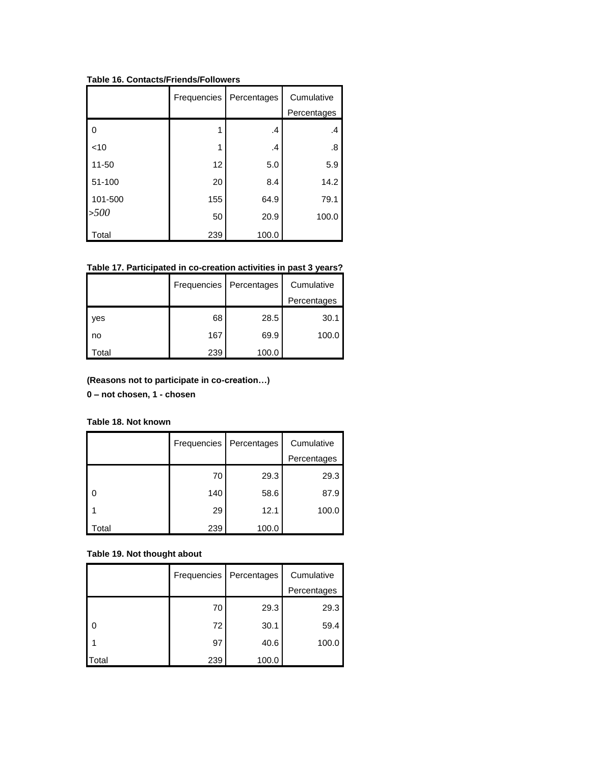|                          | Frequencies | Percentages | Cumulative<br>Percentages |
|--------------------------|-------------|-------------|---------------------------|
| $\overline{\phantom{0}}$ |             | .4          | .4                        |
| $\leq 10$                | 1           | .4          | .8                        |
| 11-50                    | 12          | 5.0         | 5.9                       |
| 51-100                   | 20          | 8.4         | 14.2                      |
| 101-500                  | 155         | 64.9        | 79.1                      |
| >500                     | 50          | 20.9        | 100.0                     |
| <b>Total</b>             | 239         | 100.0       |                           |

**Table 16. Contacts/Friends/Followers**

**Table 17. Participated in co-creation activities in past 3 years?**

|       |     | Frequencies   Percentages | Cumulative  |
|-------|-----|---------------------------|-------------|
|       |     |                           | Percentages |
| l yes | 68  | 28.5                      | 30.1        |
| l no  | 167 | 69.9                      | 100.0       |
| otal  | 239 | 100.0                     |             |

**(Reasons not to participate in co-creation…)**

**0 – not chosen, 1 - chosen**

**Table 18. Not known**

|      | Frequencies | Percentages | Cumulative  |
|------|-------------|-------------|-------------|
|      |             |             | Percentages |
|      | 70          | 29.3        | 29.3        |
| 0    | 140         | 58.6        | 87.9        |
|      | 29          | 12.1        | 100.0       |
| otal | 239         | 100.0       |             |

# **Table 19. Not thought about**

|                          |     | Frequencies   Percentages | Cumulative  |
|--------------------------|-----|---------------------------|-------------|
|                          |     |                           | Percentages |
|                          | 70  | 29.3                      | 29.3        |
| $\overline{\phantom{a}}$ | 72  | 30.1                      | 59.4        |
|                          | 97  | 40.6                      | 100.0       |
| Total                    | 239 | 100.0                     |             |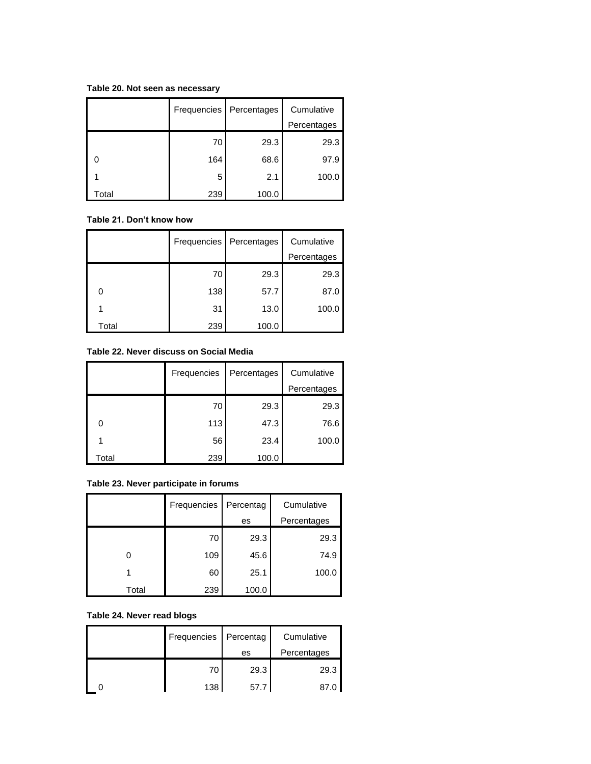**Table 20. Not seen as necessary**

|       | Frequencies | Percentages | Cumulative  |
|-------|-------------|-------------|-------------|
|       |             |             | Percentages |
|       | 70          | 29.3        | 29.3        |
|       | 164         | 68.6        | 97.9        |
|       | 5           | 2.1         | 100.0       |
| Total | 239         | 100.0       |             |

### **Table 21. Don't know how**

|       | Frequencies | Percentages | Cumulative  |
|-------|-------------|-------------|-------------|
|       |             |             | Percentages |
|       | 70          | 29.3        | 29.3        |
|       | 138         | 57.7        | 87.0        |
|       | 31          | 13.0        | 100.0       |
| Total | 239         | 100.0       |             |

### **Table 22. Never discuss on Social Media**

|       | Frequencies | Percentages | Cumulative  |
|-------|-------------|-------------|-------------|
|       |             |             | Percentages |
|       | 70          | 29.3        | 29.3        |
|       | 113         | 47.3        | 76.6        |
|       | 56          | 23.4        | 100.0       |
| Total | 239         | 100.0       |             |

# **Table 23. Never participate in forums**

|       | Frequencies | Percentag | Cumulative  |
|-------|-------------|-----------|-------------|
|       |             | es        | Percentages |
|       | 70          | 29.3      | 29.3        |
| 0     | 109         | 45.6      | 74.9        |
|       | 60          | 25.1      | 100.0       |
| Total | 239         | 100.0     |             |

# **Table 24. Never read blogs**

| Frequencies   Percentag |      | Cumulative  |
|-------------------------|------|-------------|
|                         | es   | Percentages |
| 70                      | 29.3 | 29.3        |
| 138                     | 57.7 | 87.0        |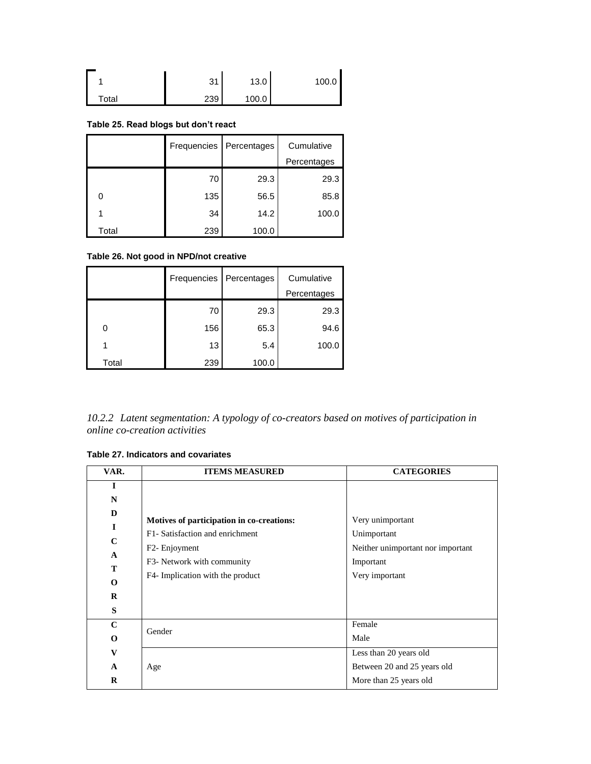|       | 31<br>، ت | 13.0  | 100.0 |
|-------|-----------|-------|-------|
| Total | 239       | 100.0 |       |

# **Table 25. Read blogs but don't react**

|       | Frequencies | Percentages | Cumulative  |
|-------|-------------|-------------|-------------|
|       |             |             | Percentages |
|       | 70          | 29.3        | 29.3        |
|       | 135         | 56.5        | 85.8        |
|       | 34          | 14.2        | 100.0       |
| Total | 239         | 100.0       |             |

# **Table 26. Not good in NPD/not creative**

|       | Frequencies | Percentages | Cumulative  |
|-------|-------------|-------------|-------------|
|       |             |             | Percentages |
|       | 70          | 29.3        | 29.3        |
| ∩     | 156         | 65.3        | 94.6        |
|       | 13          | 5.4         | 100.0       |
| Total | 239         | 100.0       |             |

| 10.2.2 Latent segmentation: A typology of co-creators based on motives of participation in |  |  |  |
|--------------------------------------------------------------------------------------------|--|--|--|
| online co-creation activities                                                              |  |  |  |

### **Table 27. Indicators and covariates**

| VAR.         | <b>ITEMS MEASURED</b>                     | <b>CATEGORIES</b>                 |
|--------------|-------------------------------------------|-----------------------------------|
| $\mathbf I$  |                                           |                                   |
| N            |                                           |                                   |
| D            |                                           |                                   |
| $\bf{I}$     | Motives of participation in co-creations: | Very unimportant                  |
| $\mathbf C$  | F1- Satisfaction and enrichment           | Unimportant                       |
|              | F <sub>2</sub> - Enjoyment                | Neither unimportant nor important |
| $\mathbf{A}$ | F3- Network with community                | Important                         |
| T            |                                           |                                   |
| $\mathbf 0$  | F4- Implication with the product          | Very important                    |
| $\bf{R}$     |                                           |                                   |
| S            |                                           |                                   |
| $\mathbf C$  | Gender                                    | Female                            |
| $\bf{0}$     |                                           | Male                              |
| V            |                                           | Less than 20 years old            |
| $\mathbf{A}$ | Age                                       | Between 20 and 25 years old       |
| R            |                                           | More than 25 years old            |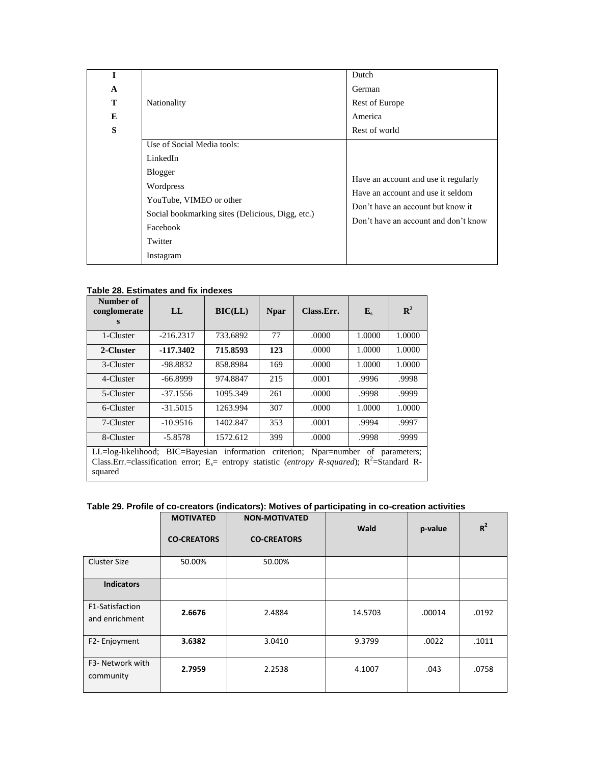|              |                                                  | Dutch                                                                     |
|--------------|--------------------------------------------------|---------------------------------------------------------------------------|
| $\mathbf{A}$ |                                                  | German                                                                    |
| T            | Nationality                                      | Rest of Europe                                                            |
| E            |                                                  | America                                                                   |
| S            |                                                  | Rest of world                                                             |
|              | Use of Social Media tools:                       |                                                                           |
|              | LinkedIn                                         |                                                                           |
|              | <b>Blogger</b>                                   |                                                                           |
|              | Wordpress                                        | Have an account and use it regularly<br>Have an account and use it seldom |
|              | YouTube, VIMEO or other                          |                                                                           |
|              | Social bookmarking sites (Delicious, Digg, etc.) | Don't have an account but know it<br>Don't have an account and don't know |
|              | Facebook                                         |                                                                           |
|              | Twitter                                          |                                                                           |
|              | Instagram                                        |                                                                           |

#### **Table 28. Estimates and fix indexes**

| Number of<br>conglomerate<br>S                                                                                                                                                                                       | LL          | <b>BIC(LL)</b> | <b>Npar</b> | Class.Err. | ${\bf E}_s$ | $\mathbb{R}^2$ |
|----------------------------------------------------------------------------------------------------------------------------------------------------------------------------------------------------------------------|-------------|----------------|-------------|------------|-------------|----------------|
| 1-Cluster                                                                                                                                                                                                            | $-216.2317$ | 733.6892       | 77          | .0000      | 1.0000      | 1.0000         |
| 2-Cluster                                                                                                                                                                                                            | -117.3402   | 715.8593       | 123         | .0000      | 1.0000      | 1.0000         |
| 3-Cluster                                                                                                                                                                                                            | -98.8832    | 858.8984       | 169         | .0000      | 1.0000      | 1.0000         |
| 4-Cluster                                                                                                                                                                                                            | $-66.8999$  | 974.8847       | 215         | .0001      | .9996       | .9998          |
| 5-Cluster                                                                                                                                                                                                            | $-37.1556$  | 1095.349       | 261         | .0000      | .9998       | .9999          |
| 6-Cluster                                                                                                                                                                                                            | $-31.5015$  | 1263.994       | 307         | .0000      | 1.0000      | 1.0000         |
| 7-Cluster                                                                                                                                                                                                            | $-10.9516$  | 1402.847       | 353         | .0001      | .9994       | .9997          |
| 8-Cluster                                                                                                                                                                                                            | $-5.8578$   | 1572.612       | 399         | .0000      | .9998       | .9999          |
| LL=log-likelihood; BIC=Bayesian information criterion; Npar=number of parameters;<br>Class.Err.=classification error; E <sub>s</sub> = entropy statistic (entropy R-squared); R <sup>2</sup> =Standard R-<br>squared |             |                |             |            |             |                |

**Table 29. Profile of co-creators (indicators): Motives of participating in co-creation activities**

|                                   | <b>MOTIVATED</b>   | <b>NON-MOTIVATED</b> | Wald    | p-value | $R^2$ |
|-----------------------------------|--------------------|----------------------|---------|---------|-------|
|                                   | <b>CO-CREATORS</b> | <b>CO-CREATORS</b>   |         |         |       |
| <b>Cluster Size</b>               | 50.00%             | 50.00%               |         |         |       |
| <b>Indicators</b>                 |                    |                      |         |         |       |
| F1-Satisfaction<br>and enrichment | 2.6676             | 2.4884               | 14.5703 | .00014  | .0192 |
| F2-Enjoyment                      | 3.6382             | 3.0410               | 9.3799  | .0022   | .1011 |
| F3- Network with<br>community     | 2.7959             | 2.2538               | 4.1007  | .043    | .0758 |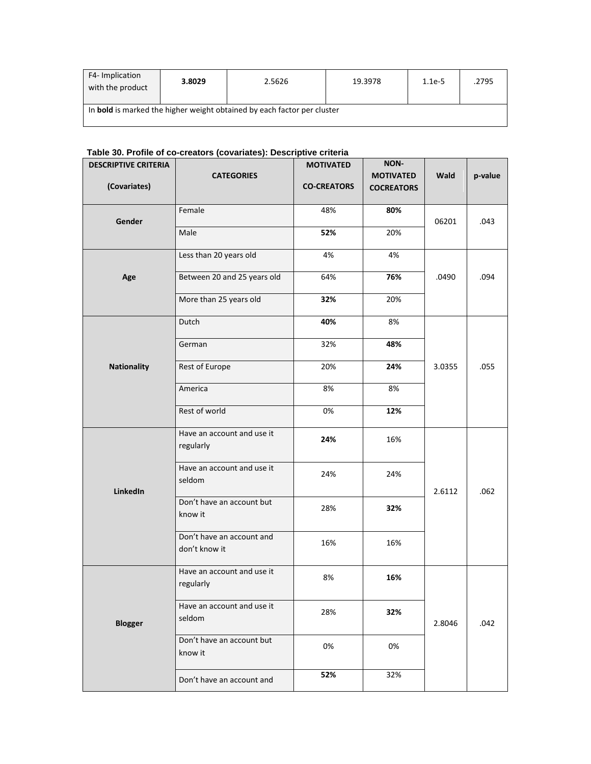| F4-Implication<br>with the product | 3.8029 | 2.5626                                                                  | 19.3978 | $1.1e-5$ | .2795 |
|------------------------------------|--------|-------------------------------------------------------------------------|---------|----------|-------|
|                                    |        | In bold is marked the higher weight obtained by each factor per cluster |         |          |       |

# **Table 30. Profile of co-creators (covariates): Descriptive criteria**

| <b>DESCRIPTIVE CRITERIA</b> |                             | <b>MOTIVATED</b>   | NON-              |        |         |
|-----------------------------|-----------------------------|--------------------|-------------------|--------|---------|
|                             | <b>CATEGORIES</b>           |                    | <b>MOTIVATED</b>  | Wald   | p-value |
| (Covariates)                |                             | <b>CO-CREATORS</b> | <b>COCREATORS</b> |        |         |
|                             | Female                      | 48%                | 80%               |        |         |
| Gender                      |                             |                    |                   | 06201  | .043    |
|                             | Male                        | 52%                | 20%               |        |         |
|                             |                             |                    |                   |        |         |
|                             | Less than 20 years old      | 4%                 | 4%                |        |         |
| Age                         | Between 20 and 25 years old | 64%                | 76%               | .0490  | .094    |
|                             |                             |                    |                   |        |         |
|                             | More than 25 years old      | 32%                | 20%               |        |         |
|                             | Dutch                       | 40%                | 8%                |        |         |
|                             |                             |                    |                   |        |         |
|                             | German                      | 32%                | 48%               |        |         |
|                             |                             |                    |                   |        |         |
| <b>Nationality</b>          | Rest of Europe              | 20%                | 24%               | 3.0355 | .055    |
|                             | America                     | 8%                 | 8%                |        |         |
|                             |                             |                    |                   |        |         |
|                             | Rest of world               | 0%                 | 12%               |        |         |
|                             | Have an account and use it  |                    |                   |        |         |
|                             | regularly                   | 24%                | 16%               |        |         |
|                             |                             |                    |                   |        |         |
|                             | Have an account and use it  | 24%                | 24%               |        |         |
| LinkedIn                    | seldom                      |                    |                   | 2.6112 | .062    |
|                             | Don't have an account but   |                    |                   |        |         |
|                             | know it                     | 28%                | 32%               |        |         |
|                             | Don't have an account and   |                    |                   |        |         |
|                             | don't know it               | 16%                | 16%               |        |         |
|                             |                             |                    |                   |        |         |
|                             | Have an account and use it  | 8%                 | 16%               |        |         |
|                             | regularly                   |                    |                   |        |         |
|                             | Have an account and use it  |                    |                   |        |         |
|                             | seldom                      | 28%                | 32%               |        |         |
| <b>Blogger</b>              |                             |                    |                   | 2.8046 | .042    |
|                             | Don't have an account but   | 0%                 | 0%                |        |         |
|                             | know it                     |                    |                   |        |         |
|                             |                             | 52%                | 32%               |        |         |
|                             | Don't have an account and   |                    |                   |        |         |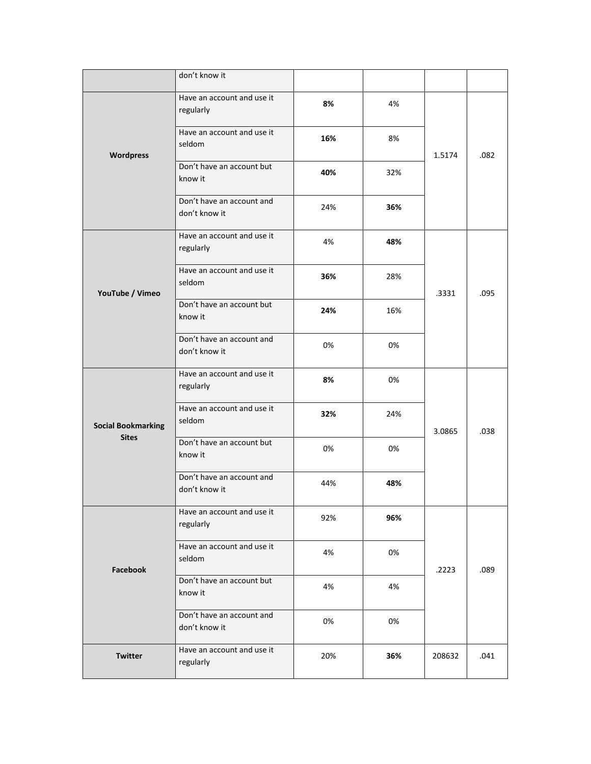|                           | don't know it                              |     |     |        |      |
|---------------------------|--------------------------------------------|-----|-----|--------|------|
|                           | Have an account and use it<br>regularly    | 8%  | 4%  |        |      |
| Wordpress                 | Have an account and use it<br>seldom       | 16% | 8%  | 1.5174 | .082 |
|                           | Don't have an account but<br>know it       | 40% | 32% |        |      |
|                           | Don't have an account and<br>don't know it | 24% | 36% |        |      |
| YouTube / Vimeo           | Have an account and use it<br>regularly    | 4%  | 48% |        |      |
|                           | Have an account and use it<br>seldom       | 36% | 28% | .3331  | .095 |
|                           | Don't have an account but<br>know it       | 24% | 16% |        |      |
|                           | Don't have an account and<br>don't know it | 0%  | 0%  |        |      |
|                           | Have an account and use it<br>regularly    | 8%  | 0%  |        |      |
| <b>Social Bookmarking</b> | Have an account and use it<br>seldom       | 32% | 24% | 3.0865 | .038 |
| <b>Sites</b>              | Don't have an account but<br>know it       | 0%  | 0%  |        |      |
|                           | Don't have an account and<br>don't know it | 44% | 48% |        |      |
|                           | Have an account and use it<br>regularly    | 92% | 96% |        |      |
| Facebook                  | Have an account and use it<br>seldom       | 4%  | 0%  | .2223  | .089 |
|                           | Don't have an account but<br>know it       | 4%  | 4%  |        |      |
|                           | Don't have an account and<br>don't know it | 0%  | 0%  |        |      |
| Twitter                   | Have an account and use it<br>regularly    | 20% | 36% | 208632 | .041 |